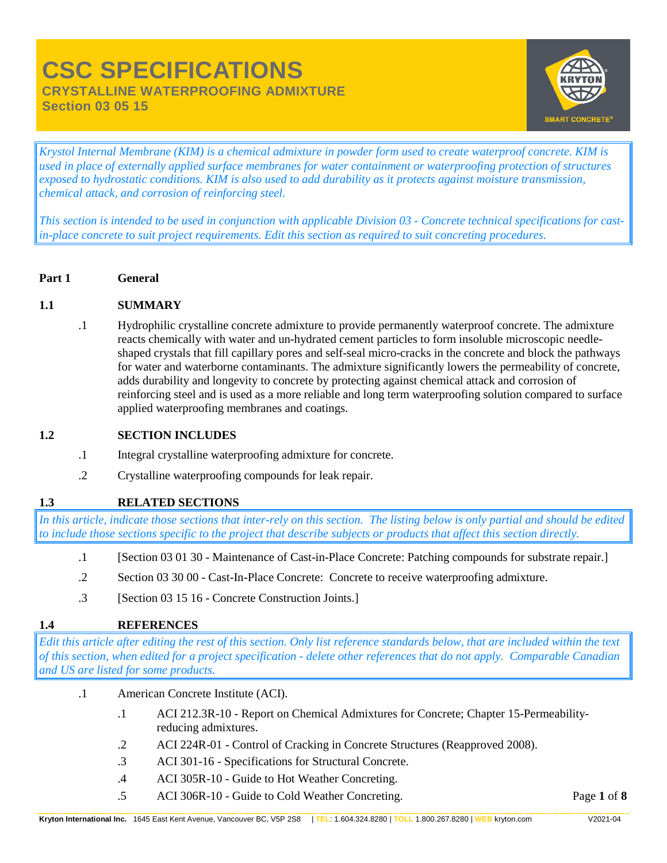# **CSC SPECIFICATIONS CRYSTALLINE WATERPROOFING ADMIXTURE Section 03 05 15**



*Krystol Internal Membrane (KIM) is a chemical admixture in powder form used to create waterproof concrete. KIM is used in place of externally applied surface membranes for water containment or waterproofing protection of structures exposed to hydrostatic conditions. KIM is also used to add durability as it protects against moisture transmission, chemical attack, and corrosion of reinforcing steel.*

*This section is intended to be used in conjunction with applicable Division 03 - Concrete technical specifications for castin-place concrete to suit project requirements. Edit this section as required to suit concreting procedures.*

**Part 1 General**

## **1.1 SUMMARY**

.1 Hydrophilic crystalline concrete admixture to provide permanently waterproof concrete. The admixture reacts chemically with water and un-hydrated cement particles to form insoluble microscopic needleshaped crystals that fill capillary pores and self-seal micro-cracks in the concrete and block the pathways for water and waterborne contaminants. The admixture significantly lowers the permeability of concrete, adds durability and longevity to concrete by protecting against chemical attack and corrosion of reinforcing steel and is used as a more reliable and long term waterproofing solution compared to surface applied waterproofing membranes and coatings.

## **1.2 SECTION INCLUDES**

- .1 Integral crystalline waterproofing admixture for concrete.
- .2 Crystalline waterproofing compounds for leak repair.

## **1.3 RELATED SECTIONS**

*In this article, indicate those sections that inter-rely on this section. The listing below is only partial and should be edited to include those sections specific to the project that describe subjects or products that affect this section directly.*

- .1 [Section 03 01 30 Maintenance of Cast-in-Place Concrete: Patching compounds for substrate repair.]
- .2 Section 03 30 00 Cast-In-Place Concrete: Concrete to receive waterproofing admixture.
- .3 [Section 03 15 16 Concrete Construction Joints.]

## **1.4 REFERENCES**

*Edit this article after editing the rest of this section. Only list reference standards below, that are included within the text of this section, when edited for a project specification - delete other references that do not apply. Comparable Canadian and US are listed for some products.*

- .1 American Concrete Institute (ACI).
	- .1 ACI 212.3R-10 Report on Chemical Admixtures for Concrete; Chapter 15-Permeabilityreducing admixtures.
	- .2 ACI 224R-01 Control of Cracking in Concrete Structures (Reapproved 2008).
	- .3 ACI 301-16 Specifications for Structural Concrete.
	- .4 ACI 305R-10 Guide to Hot Weather Concreting.
	- .5 ACI 306R-10 Guide to Cold Weather Concreting.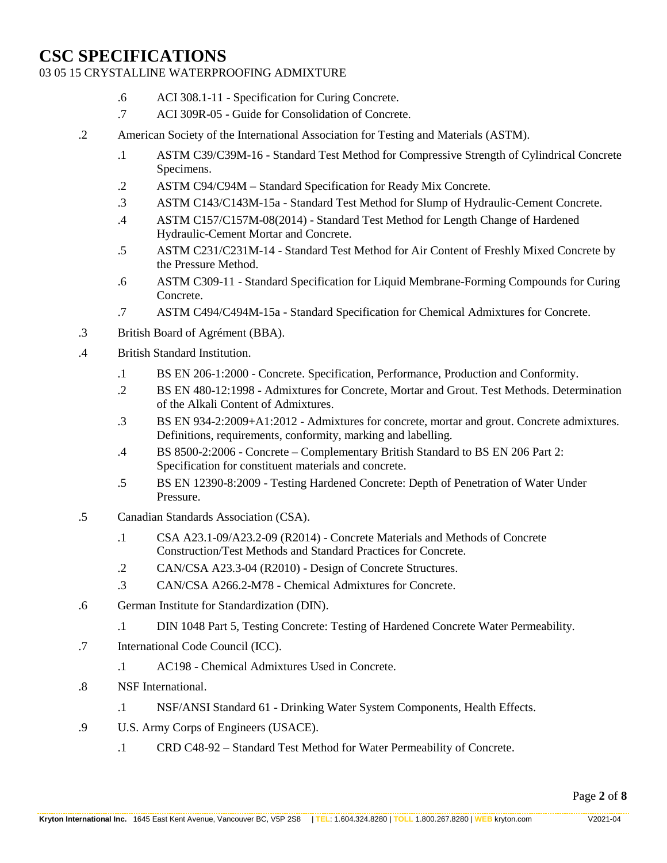## 03 05 15 CRYSTALLINE WATERPROOFING ADMIXTURE

- .6 ACI 308.1-11 Specification for Curing Concrete.
- .7 ACI 309R-05 Guide for Consolidation of Concrete.
- .2 American Society of the International Association for Testing and Materials (ASTM).
	- .1 ASTM C39/C39M-16 Standard Test Method for Compressive Strength of Cylindrical Concrete Specimens.
	- .2 ASTM C94/C94M Standard Specification for Ready Mix Concrete.
	- .3 ASTM C143/C143M-15a Standard Test Method for Slump of Hydraulic-Cement Concrete.
	- .4 ASTM C157/C157M-08(2014) Standard Test Method for Length Change of Hardened Hydraulic-Cement Mortar and Concrete.
	- .5 ASTM C231/C231M-14 Standard Test Method for Air Content of Freshly Mixed Concrete by the Pressure Method.
	- .6 ASTM C309-11 Standard Specification for Liquid Membrane-Forming Compounds for Curing Concrete.
	- .7 ASTM C494/C494M-15a Standard Specification for Chemical Admixtures for Concrete.
- .3 British Board of Agrément (BBA).
- .4 British Standard Institution.
	- .1 BS EN 206-1:2000 Concrete. Specification, Performance, Production and Conformity.
	- .2 BS EN 480-12:1998 Admixtures for Concrete, Mortar and Grout. Test Methods. Determination of the Alkali Content of Admixtures.
	- .3 BS EN 934-2:2009+A1:2012 Admixtures for concrete, mortar and grout. Concrete admixtures. Definitions, requirements, conformity, marking and labelling.
	- .4 BS 8500-2:2006 Concrete Complementary British Standard to BS EN 206 Part 2: Specification for constituent materials and concrete.
	- .5 BS EN 12390-8:2009 Testing Hardened Concrete: Depth of Penetration of Water Under Pressure.
- .5 Canadian Standards Association (CSA).
	- .1 CSA A23.1-09/A23.2-09 (R2014) Concrete Materials and Methods of Concrete Construction/Test Methods and Standard Practices for Concrete.
	- .2 CAN/CSA A23.3-04 (R2010) Design of Concrete Structures.
	- .3 CAN/CSA A266.2-M78 Chemical Admixtures for Concrete.
- .6 German Institute for Standardization (DIN).
	- .1 DIN 1048 Part 5, Testing Concrete: Testing of Hardened Concrete Water Permeability.
- .7 International Code Council (ICC).
	- .1 AC198 Chemical Admixtures Used in Concrete.
- .8 NSF International.
	- .1 NSF/ANSI Standard 61 Drinking Water System Components, Health Effects.
- .9 U.S. Army Corps of Engineers (USACE).
	- .1 CRD C48-92 Standard Test Method for Water Permeability of Concrete.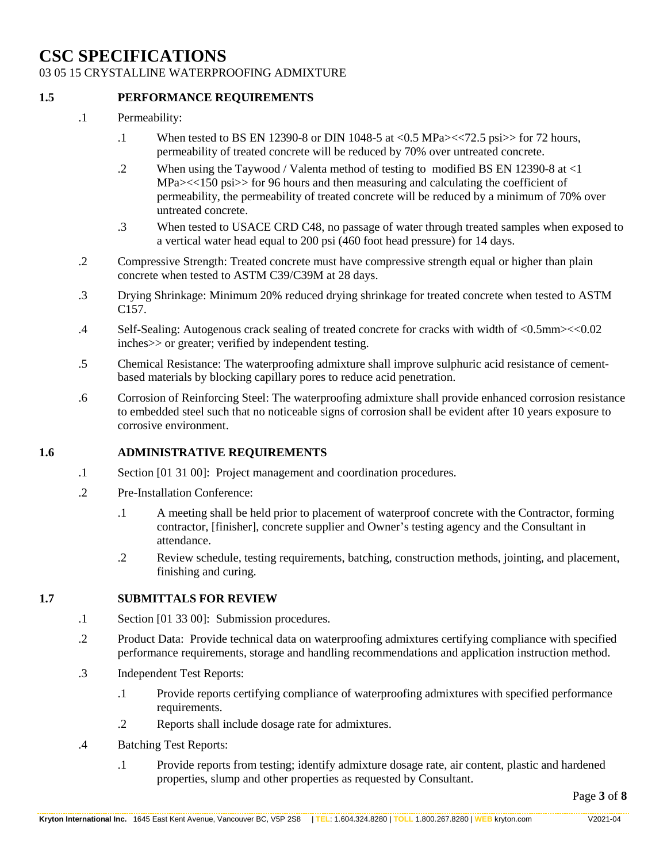03 05 15 CRYSTALLINE WATERPROOFING ADMIXTURE

#### **1.5 PERFORMANCE REQUIREMENTS**

- .1 Permeability:
	- .1 When tested to BS EN 12390-8 or DIN 1048-5 at <0.5 MPa><<72.5 psi>> for 72 hours, permeability of treated concrete will be reduced by 70% over untreated concrete.
	- .2 When using the Taywood / Valenta method of testing to modified BS EN 12390-8 at <1 MPa $\ge$  < 150 psi >> for 96 hours and then measuring and calculating the coefficient of permeability, the permeability of treated concrete will be reduced by a minimum of 70% over untreated concrete.
	- .3 When tested to USACE CRD C48, no passage of water through treated samples when exposed to a vertical water head equal to 200 psi (460 foot head pressure) for 14 days.
- .2 Compressive Strength: Treated concrete must have compressive strength equal or higher than plain concrete when tested to ASTM C39/C39M at 28 days.
- .3 Drying Shrinkage: Minimum 20% reduced drying shrinkage for treated concrete when tested to ASTM C157.
- .4 Self-Sealing: Autogenous crack sealing of treated concrete for cracks with width of <0.5mm><<0.02 inches>> or greater; verified by independent testing.
- .5 Chemical Resistance: The waterproofing admixture shall improve sulphuric acid resistance of cementbased materials by blocking capillary pores to reduce acid penetration.
- .6 Corrosion of Reinforcing Steel: The waterproofing admixture shall provide enhanced corrosion resistance to embedded steel such that no noticeable signs of corrosion shall be evident after 10 years exposure to corrosive environment.

## **1.6 ADMINISTRATIVE REQUIREMENTS**

- .1 Section [01 31 00]: Project management and coordination procedures.
- .2 Pre-Installation Conference:
	- .1 A meeting shall be held prior to placement of waterproof concrete with the Contractor, forming contractor, [finisher], concrete supplier and Owner's testing agency and the Consultant in attendance.
	- .2 Review schedule, testing requirements, batching, construction methods, jointing, and placement, finishing and curing.

#### **1.7 SUBMITTALS FOR REVIEW**

- .1 Section [01 33 00]: Submission procedures.
- .2 Product Data: Provide technical data on waterproofing admixtures certifying compliance with specified performance requirements, storage and handling recommendations and application instruction method.
- .3 Independent Test Reports:
	- .1 Provide reports certifying compliance of waterproofing admixtures with specified performance requirements.
	- .2 Reports shall include dosage rate for admixtures.
- .4 Batching Test Reports:
	- .1 Provide reports from testing; identify admixture dosage rate, air content, plastic and hardened properties, slump and other properties as requested by Consultant.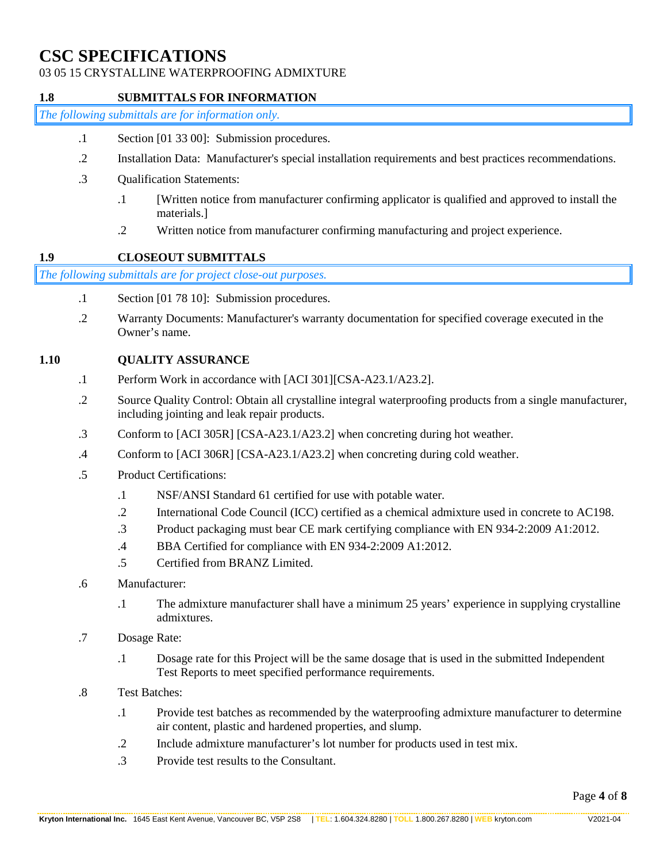## 03 05 15 CRYSTALLINE WATERPROOFING ADMIXTURE

### **1.8 SUBMITTALS FOR INFORMATION**

*The following submittals are for information only.*

- .1 Section [01 33 00]: Submission procedures.
- .2 Installation Data: Manufacturer's special installation requirements and best practices recommendations.
- .3 Qualification Statements:
	- .1 [Written notice from manufacturer confirming applicator is qualified and approved to install the materials.]
	- .2 Written notice from manufacturer confirming manufacturing and project experience.

## **1.9 CLOSEOUT SUBMITTALS**

*The following submittals are for project close-out purposes.*

- .1 Section [01 78 10]: Submission procedures.
- .2 Warranty Documents: Manufacturer's warranty documentation for specified coverage executed in the Owner's name.

### **1.10 QUALITY ASSURANCE**

- .1 Perform Work in accordance with [ACI 301][CSA-A23.1/A23.2].
- .2 Source Quality Control: Obtain all crystalline integral waterproofing products from a single manufacturer, including jointing and leak repair products.
- .3 Conform to [ACI 305R] [CSA-A23.1/A23.2] when concreting during hot weather.
- .4 Conform to [ACI 306R] [CSA-A23.1/A23.2] when concreting during cold weather.
- .5 Product Certifications:
	- .1 NSF/ANSI Standard 61 certified for use with potable water.
	- .2 International Code Council (ICC) certified as a chemical admixture used in concrete to AC198.
	- .3 Product packaging must bear CE mark certifying compliance with EN 934-2:2009 A1:2012.
	- .4 BBA Certified for compliance with EN 934-2:2009 A1:2012.
	- .5 Certified from BRANZ Limited.
- .6 Manufacturer:
	- .1 The admixture manufacturer shall have a minimum 25 years' experience in supplying crystalline admixtures.
- .7 Dosage Rate:
	- .1 Dosage rate for this Project will be the same dosage that is used in the submitted Independent Test Reports to meet specified performance requirements.
- .8 Test Batches:
	- .1 Provide test batches as recommended by the waterproofing admixture manufacturer to determine air content, plastic and hardened properties, and slump.
	- .2 Include admixture manufacturer's lot number for products used in test mix.
	- .3 Provide test results to the Consultant.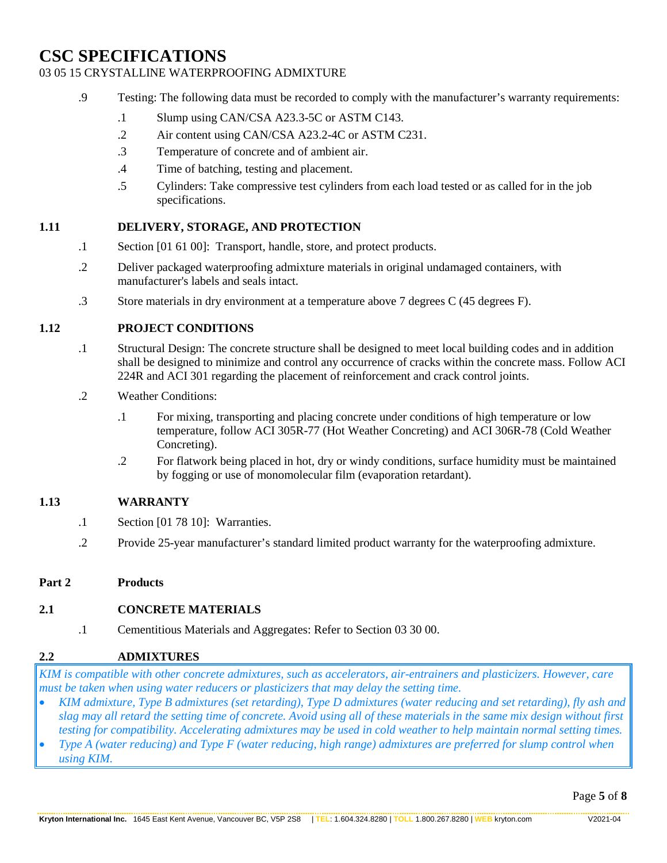# 03 05 15 CRYSTALLINE WATERPROOFING ADMIXTURE

- .9 Testing: The following data must be recorded to comply with the manufacturer's warranty requirements:
	- .1 Slump using CAN/CSA A23.3-5C or ASTM C143.
	- .2 Air content using CAN/CSA A23.2-4C or ASTM C231.
	- .3 Temperature of concrete and of ambient air.
	- .4 Time of batching, testing and placement.
	- .5 Cylinders: Take compressive test cylinders from each load tested or as called for in the job specifications.

### **1.11 DELIVERY, STORAGE, AND PROTECTION**

- .1 Section [01 61 00]: Transport, handle, store, and protect products.
- .2 Deliver packaged waterproofing admixture materials in original undamaged containers, with manufacturer's labels and seals intact.
- .3 Store materials in dry environment at a temperature above 7 degrees C (45 degrees F).

### **1.12 PROJECT CONDITIONS**

- .1 Structural Design: The concrete structure shall be designed to meet local building codes and in addition shall be designed to minimize and control any occurrence of cracks within the concrete mass. Follow ACI 224R and ACI 301 regarding the placement of reinforcement and crack control joints.
- .2 Weather Conditions:
	- .1 For mixing, transporting and placing concrete under conditions of high temperature or low temperature, follow ACI 305R-77 (Hot Weather Concreting) and ACI 306R-78 (Cold Weather Concreting).
	- .2 For flatwork being placed in hot, dry or windy conditions, surface humidity must be maintained by fogging or use of monomolecular film (evaporation retardant).

## **1.13 WARRANTY**

- .1 Section [01 78 10]: Warranties.
- .2 Provide 25-year manufacturer's standard limited product warranty for the waterproofing admixture.

#### **Part 2 Products**

## **2.1 CONCRETE MATERIALS**

.1 Cementitious Materials and Aggregates: Refer to Section 03 30 00.

## **2.2 ADMIXTURES**

*KIM is compatible with other concrete admixtures, such as accelerators, air-entrainers and plasticizers. However, care must be taken when using water reducers or plasticizers that may delay the setting time.*

- *KIM admixture, Type B admixtures (set retarding), Type D admixtures (water reducing and set retarding), fly ash and slag may all retard the setting time of concrete. Avoid using all of these materials in the same mix design without first testing for compatibility. Accelerating admixtures may be used in cold weather to help maintain normal setting times.*
- *Type A (water reducing) and Type F (water reducing, high range) admixtures are preferred for slump control when using KIM.*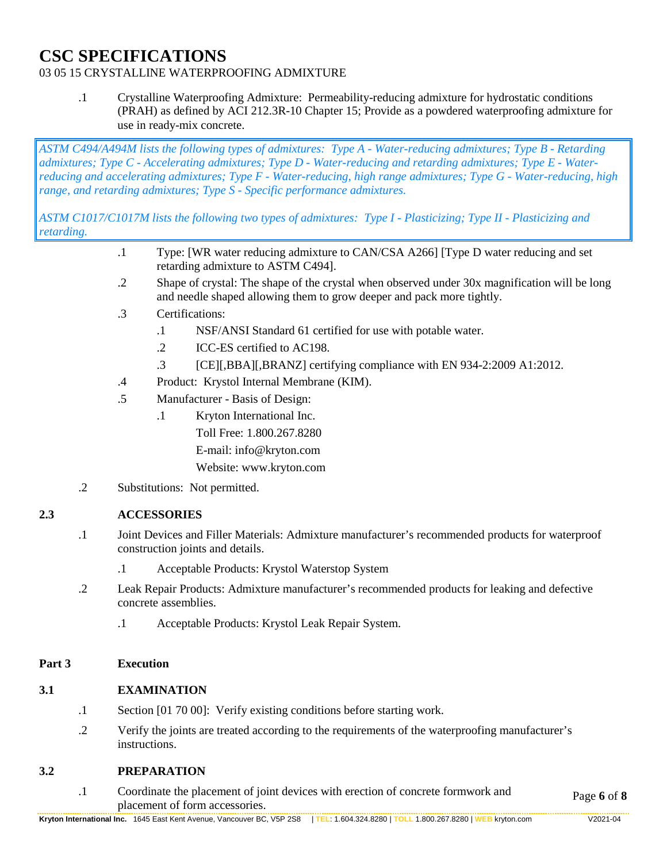# 03 05 15 CRYSTALLINE WATERPROOFING ADMIXTURE

.1 Crystalline Waterproofing Admixture: Permeability-reducing admixture for hydrostatic conditions (PRAH) as defined by ACI 212.3R-10 Chapter 15; Provide as a powdered waterproofing admixture for use in ready-mix concrete.

*ASTM C494/A494M lists the following types of admixtures: Type A - Water-reducing admixtures; Type B - Retarding admixtures; Type C - Accelerating admixtures; Type D - Water-reducing and retarding admixtures; Type E - Waterreducing and accelerating admixtures; Type F - Water-reducing, high range admixtures; Type G - Water-reducing, high range, and retarding admixtures; Type S - Specific performance admixtures.* 

*ASTM C1017/C1017M lists the following two types of admixtures: Type I - Plasticizing; Type II - Plasticizing and retarding.*

- .1 Type: [WR water reducing admixture to CAN/CSA A266] [Type D water reducing and set retarding admixture to ASTM C494].
- .2 Shape of crystal: The shape of the crystal when observed under 30x magnification will be long and needle shaped allowing them to grow deeper and pack more tightly.
- .3 Certifications:
	- .1 NSF/ANSI Standard 61 certified for use with potable water.
	- .2 ICC-ES certified to AC198.
	- .3 [CE][,BBA][,BRANZ] certifying compliance with EN 934-2:2009 A1:2012.
- .4 Product: Krystol Internal Membrane (KIM).
- .5 Manufacturer Basis of Design:
	- .1 Kryton International Inc. Toll Free: 1.800.267.8280 E-mail: info@kryton.com Website: www.kryton.com
- .2 Substitutions: Not permitted.

## **2.3 ACCESSORIES**

- .1 Joint Devices and Filler Materials: Admixture manufacturer's recommended products for waterproof construction joints and details.
	- .1 Acceptable Products: Krystol Waterstop System
- .2 Leak Repair Products: Admixture manufacturer's recommended products for leaking and defective concrete assemblies.
	- .1 Acceptable Products: Krystol Leak Repair System.

#### **Part 3 Execution**

#### **3.1 EXAMINATION**

- .1 Section [01 70 00]: Verify existing conditions before starting work.
- .2 Verify the joints are treated according to the requirements of the waterproofing manufacturer's instructions.

#### **3.2 PREPARATION**

Page **6** of **8** .1 Coordinate the placement of joint devices with erection of concrete formwork and placement of form accessories.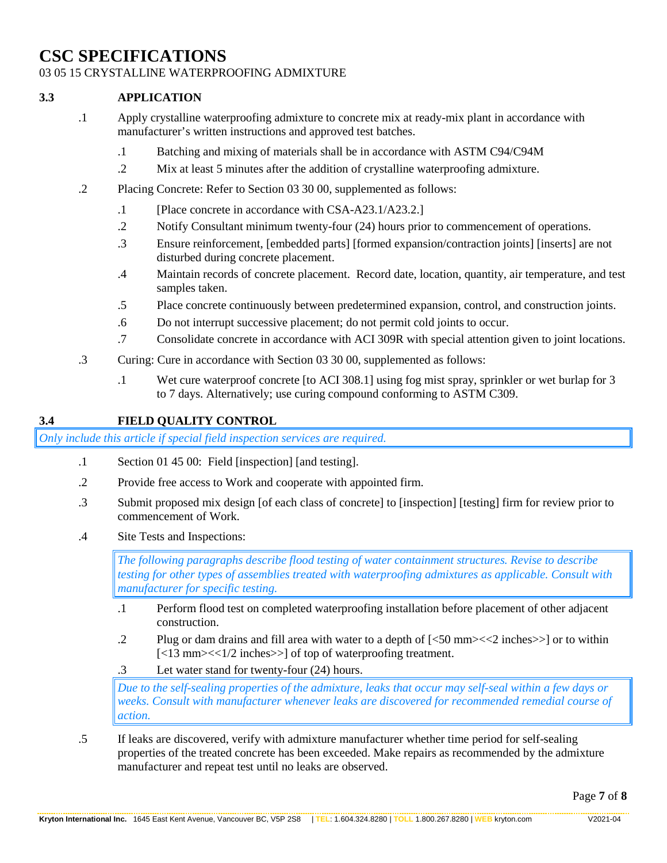### 03 05 15 CRYSTALLINE WATERPROOFING ADMIXTURE

### **3.3 APPLICATION**

- .1 Apply crystalline waterproofing admixture to concrete mix at ready-mix plant in accordance with manufacturer's written instructions and approved test batches.
	- .1 Batching and mixing of materials shall be in accordance with ASTM C94/C94M
	- .2 Mix at least 5 minutes after the addition of crystalline waterproofing admixture.
- .2 Placing Concrete: Refer to Section 03 30 00, supplemented as follows:
	- .1 [Place concrete in accordance with CSA-A23.1/A23.2.]
	- .2 Notify Consultant minimum twenty-four (24) hours prior to commencement of operations.
	- .3 Ensure reinforcement, [embedded parts] [formed expansion/contraction joints] [inserts] are not disturbed during concrete placement.
	- .4 Maintain records of concrete placement. Record date, location, quantity, air temperature, and test samples taken.
	- .5 Place concrete continuously between predetermined expansion, control, and construction joints.
	- .6 Do not interrupt successive placement; do not permit cold joints to occur.
	- .7 Consolidate concrete in accordance with ACI 309R with special attention given to joint locations.
- .3 Curing: Cure in accordance with Section 03 30 00, supplemented as follows:
	- .1 Wet cure waterproof concrete [to ACI 308.1] using fog mist spray, sprinkler or wet burlap for 3 to 7 days. Alternatively; use curing compound conforming to ASTM C309.

### **3.4 FIELD QUALITY CONTROL**

*Only include this article if special field inspection services are required.*

- .1 Section 01 45 00: Field [inspection] [and testing].
- .2 Provide free access to Work and cooperate with appointed firm.
- .3 Submit proposed mix design [of each class of concrete] to [inspection] [testing] firm for review prior to commencement of Work.
- .4 Site Tests and Inspections:

*The following paragraphs describe flood testing of water containment structures. Revise to describe testing for other types of assemblies treated with waterproofing admixtures as applicable. Consult with manufacturer for specific testing.*

- .1 Perform flood test on completed waterproofing installation before placement of other adjacent construction.
- .2 Plug or dam drains and fill area with water to a depth of [<50 mm><<2 inches>>] or to within [<13 mm><<1/2 inches>>] of top of waterproofing treatment.
- .3 Let water stand for twenty-four (24) hours.

*Due to the self-sealing properties of the admixture, leaks that occur may self-seal within a few days or weeks. Consult with manufacturer whenever leaks are discovered for recommended remedial course of action.*

.5 If leaks are discovered, verify with admixture manufacturer whether time period for self-sealing properties of the treated concrete has been exceeded. Make repairs as recommended by the admixture manufacturer and repeat test until no leaks are observed.